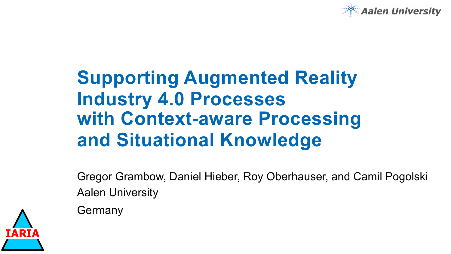

# **Supporting Augmented Reality Industry 4.0 Processes with Context-aware Processing and Situational Knowledge**

Gregor Grambow, Daniel Hieber, Roy Oberhauser, and Camil Pogolski Aalen University

Germany

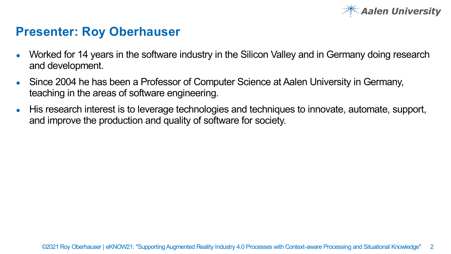

### **Presenter: Roy Oberhauser**

- Worked for 14 years in the software industry in the Silicon Valley and in Germany doing research and development.
- Since 2004 he has been a Professor of Computer Science at Aalen University in Germany, teaching in the areas of software engineering.
- His research interest is to leverage technologies and techniques to innovate, automate, support, and improve the production and quality of software for society.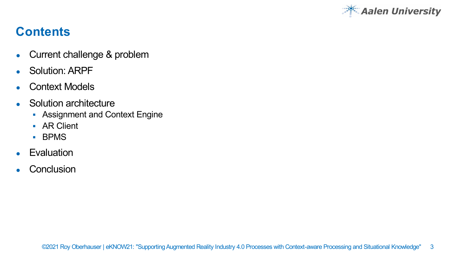

# **Contents**

- Current challenge & problem
- Solution: ARPF
- Context Models
- Solution architecture
	- Assignment and Context Engine
	- § AR Client
	- § BPMS
- Evaluation
- Conclusion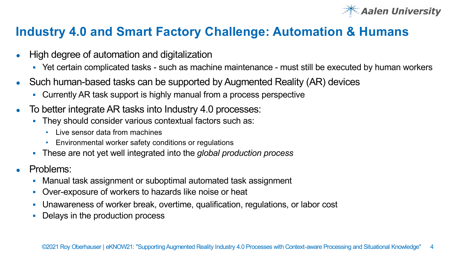

### **Industry 4.0 and Smart Factory Challenge: Automation & Humans**

- High degree of automation and digitalization
	- § Yet certain complicated tasks such as machine maintenance must still be executed by human workers
- Such human-based tasks can be supported by Augmented Reality (AR) devices
	- Currently AR task support is highly manual from a process perspective
- To better integrate AR tasks into Industry 4.0 processes:
	- They should consider various contextual factors such as:
		- Live sensor data from machines
		- Environmental worker safety conditions or regulations
	- § These are not yet well integrated into the *global production process*
- Problems:
	- § Manual task assignment or suboptimal automated task assignment
	- § Over-exposure of workers to hazards like noise or heat
	- § Unawareness of worker break, overtime, qualification, regulations, or labor cost
	- Delays in the production process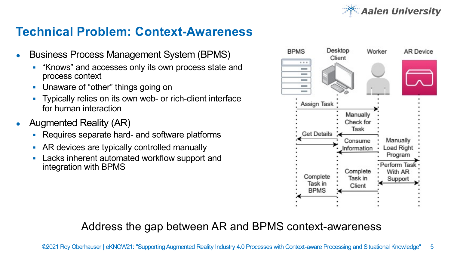

## **Technical Problem: Context-Awareness**

- **Business Process Management System (BPMS)** 
	- § "Knows" and accesses only its own process state and process context
	- § Unaware of "other" things going on
	- § Typically relies on its own web- or rich-client interface for human interaction
- Augmented Reality (AR)
	- § Requires separate hard- and software platforms
	- AR devices are typically controlled manually
	- § Lacks inherent automated workflow support and integration with BPMS



### Address the gap between AR and BPMS context-awareness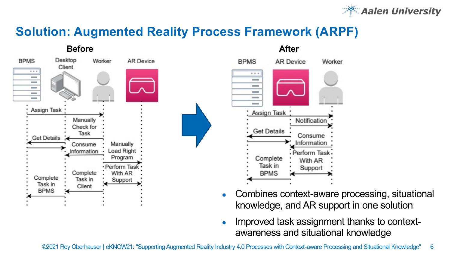

# **Solution: Augmented Reality Process Framework (ARPF)**





- Combines context-aware processing, situational knowledge, and AR support in one solution
- Improved task assignment thanks to contextawareness and situational knowledge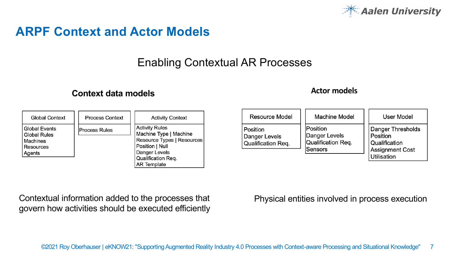

### **ARPF Context and Actor Models**

### Enabling Contextual AR Processes

### **Context data models Actor models**

| Global Context                                                                 | Process Context      | <b>Activity Context</b>                                                                                                                                       |
|--------------------------------------------------------------------------------|----------------------|---------------------------------------------------------------------------------------------------------------------------------------------------------------|
| <b>Global Events</b><br><b>Global Rules</b><br>Machines<br>Resources<br>Agents | <b>Process Rules</b> | <b>Activity Rules</b><br>Machine Type   Machine<br>Resource Types   Resources<br>Position   Null<br>Danger Levels<br>Qualification Reg.<br><b>AR Template</b> |

| Resource Model                                  | Machine Model                                              | <b>User Model</b>                                                                |
|-------------------------------------------------|------------------------------------------------------------|----------------------------------------------------------------------------------|
| Position<br>Danger Levels<br>Qualification Req. | Position<br>Danger Levels<br>Qualification Req.<br>Sensors | Danger Thresholds<br>Position<br>Qualification<br>Assignment Cost<br>Utilisation |

Contextual information added to the processes that Physical entities involved in process execution govern how activities should be executed efficiently

#### ©2021 Roy Oberhauser | eKNOW21: "Supporting Augmented Reality Industry 4.0 Processes with Context-aware Processing and Situational Knowledge" 7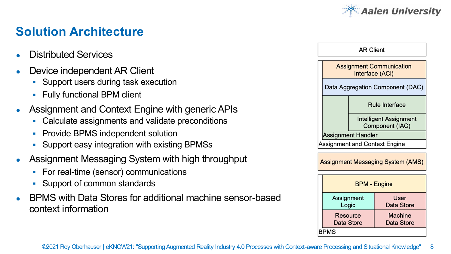

# **Solution Architecture**

- Distributed Services
- Device independent AR Client
	- § Support users during task execution
	- § Fully functional BPM client
- Assignment and Context Engine with generic APIs
	- Calculate assignments and validate preconditions
	- Provide BPMS independent solution
	- § Support easy integration with existing BPMSs
- Assignment Messaging System with high throughput
	- § For real-time (sensor) communications
	- Support of common standards
- BPMS with Data Stores for additional machine sensor-based context information

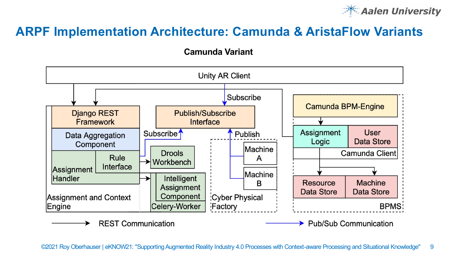

## **ARPF Implementation Architecture: Camunda & AristaFlow Variants**

**Camunda Variant**

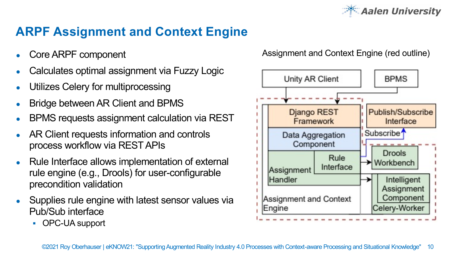

# **ARPF Assignment and Context Engine**

- Core ARPF component
- Calculates optimal assignment via Fuzzy Logic
- Utilizes Celery for multiprocessing
- **Bridge between AR Client and BPMS**
- BPMS requests assignment calculation via REST
- AR Client requests information and controls process workflow via REST APIs
- Rule Interface allows implementation of external rule engine (e.g., Drools) for user-configurable precondition validation
- Supplies rule engine with latest sensor values via Pub/Sub interface
	- § OPC-UA support

Assignment and Context Engine (red outline)

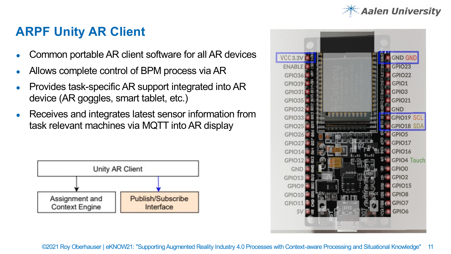

### **ARPF Unity AR Client**

- Common portable AR client software for all AR devices
- Allows complete control of BPM process via AR
- Provides task-specific AR support integrated into AR device (AR goggles, smart tablet, etc.)
- Receives and integrates latest sensor information from task relevant machines via MQTT into AR display





©2021 Roy Oberhauser | eKNOW21: "Supporting Augmented Reality Industry 4.0 Processes with Context-aware Processing and Situational Knowledge" 11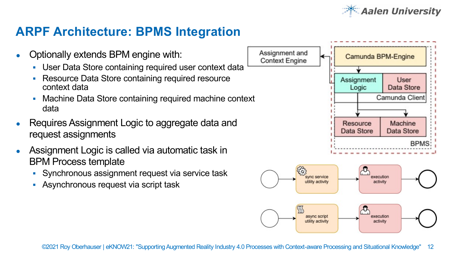

### **ARPF Architecture: BPMS Integration**

- Optionally extends BPM engine with:
	- § User Data Store containing required user context data
	- Resource Data Store containing required resource context data
	- § Machine Data Store containing required machine context data
- Requires Assignment Logic to aggregate data and request assignments
- Assignment Logic is called via automatic task in BPM Process template
	- § Synchronous assignment request via service task
	- Asynchronous request via script task

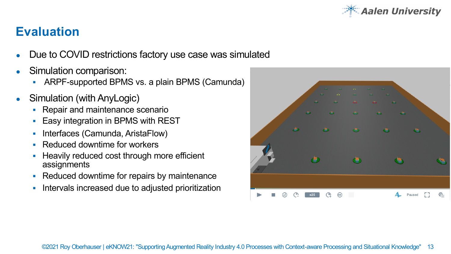

## **Evaluation**

- Due to COVID restrictions factory use case was simulated
- Simulation comparison:
	- § ARPF-supported BPMS vs. a plain BPMS (Camunda)
- Simulation (with AnyLogic)
	- Repair and maintenance scenario
	- § Easy integration in BPMS with REST
	- Interfaces (Camunda, AristaFlow)
	- § Reduced downtime for workers
	- § Heavily reduced cost through more efficient assignments
	- § Reduced downtime for repairs by maintenance
	- § Intervals increased due to adjusted prioritization

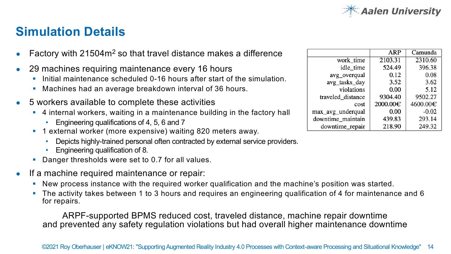

### **Simulation Details**

- Factory with 21504m<sup>2</sup> so that travel distance makes a difference
- 29 machines requiring maintenance every 16 hours
	- Initial maintenance scheduled 0-16 hours after start of the simulation.
	- § Machines had an average breakdown interval of 36 hours.
- 5 workers available to complete these activities
	- § 4 internal workers, waiting in a maintenance building in the factory hall
		- Engineering qualifications of 4, 5, 6 and 7
	- 1 external worker (more expensive) waiting 820 meters away.
		- Depicts highly-trained personal often contracted by external service providers.
		- Engineering qualification of 8.
	- § Danger thresholds were set to 0.7 for all values.
- If a machine required maintenance or repair:
	- § New process instance with the required worker qualification and the machine's position was started.
	- § The activity takes between 1 to 3 hours and requires an engineering qualification of 4 for maintenance and 6 for repairs.

ARPF-supported BPMS reduced cost, traveled distance, machine repair downtime and prevented any safety regulation violations but had overall higher maintenance downtime

|                   | ARP      | Camunda  |
|-------------------|----------|----------|
| work time         | 2103.31  | 2310.60  |
| idle time         | 524.49   | 396.38   |
| avg_overqual      | 0.12     | 0.08     |
| avg tasks day     | 3.52     | 3.62     |
| violations        | 0.00     | 5.12     |
| traveled distance | 9304.40  | 9502.27  |
| cost              | 2000.00€ | 4600.00€ |
| max_avg_underqual | 0.00     | $-0.02$  |
| downtime maintain | 439.83   | 293.14   |
| downtime_repair   | 218.90   | 249.32   |